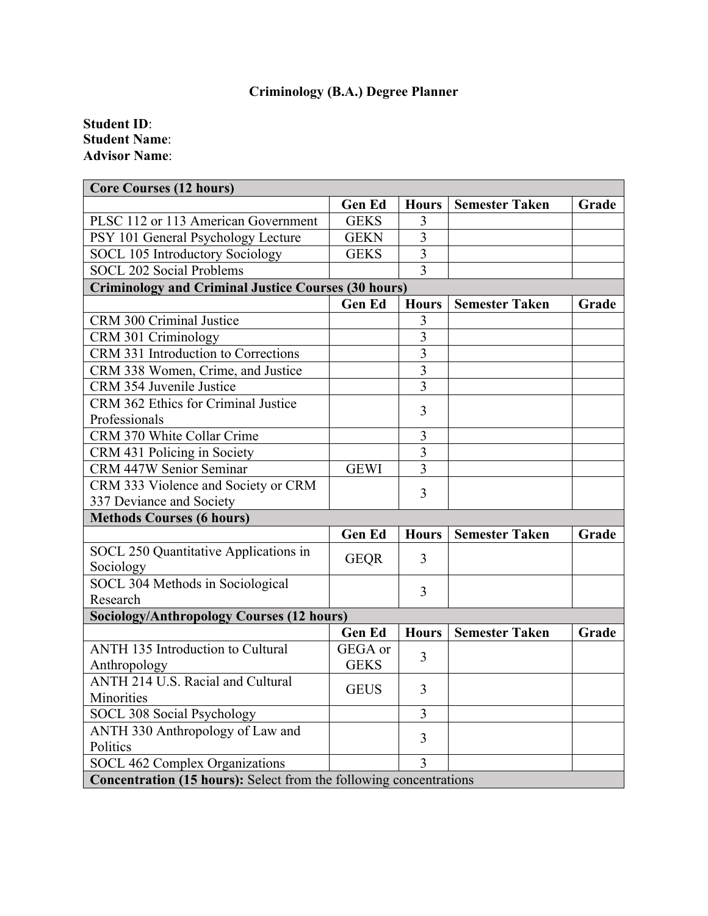## **Criminology (B.A.) Degree Planner**

## **Student ID**: **Student Name**: **Advisor Name**:

| <b>Core Courses (12 hours)</b>                                     |               |                |                               |       |  |
|--------------------------------------------------------------------|---------------|----------------|-------------------------------|-------|--|
|                                                                    | <b>Gen Ed</b> |                | <b>Hours   Semester Taken</b> | Grade |  |
| PLSC 112 or 113 American Government                                | <b>GEKS</b>   | 3              |                               |       |  |
| PSY 101 General Psychology Lecture                                 | <b>GEKN</b>   | 3              |                               |       |  |
| SOCL 105 Introductory Sociology                                    | <b>GEKS</b>   | $\overline{3}$ |                               |       |  |
| <b>SOCL 202 Social Problems</b>                                    |               | 3              |                               |       |  |
| <b>Criminology and Criminal Justice Courses (30 hours)</b>         |               |                |                               |       |  |
|                                                                    | <b>Gen Ed</b> | <b>Hours</b>   | <b>Semester Taken</b>         | Grade |  |
| CRM 300 Criminal Justice                                           |               | 3              |                               |       |  |
| CRM 301 Criminology                                                |               | $\overline{3}$ |                               |       |  |
| CRM 331 Introduction to Corrections                                |               | $\overline{3}$ |                               |       |  |
| CRM 338 Women, Crime, and Justice                                  |               | $\overline{3}$ |                               |       |  |
| CRM 354 Juvenile Justice                                           |               | $\overline{3}$ |                               |       |  |
| CRM 362 Ethics for Criminal Justice                                |               |                |                               |       |  |
| Professionals                                                      |               | 3              |                               |       |  |
| CRM 370 White Collar Crime                                         |               | 3              |                               |       |  |
| CRM 431 Policing in Society                                        |               | $\overline{3}$ |                               |       |  |
| CRM 447W Senior Seminar                                            | <b>GEWI</b>   | $\overline{3}$ |                               |       |  |
| CRM 333 Violence and Society or CRM                                |               | 3              |                               |       |  |
| 337 Deviance and Society                                           |               |                |                               |       |  |
| <b>Methods Courses (6 hours)</b>                                   |               |                |                               |       |  |
|                                                                    | <b>Gen Ed</b> | <b>Hours</b>   | <b>Semester Taken</b>         | Grade |  |
| SOCL 250 Quantitative Applications in                              | <b>GEQR</b>   | 3              |                               |       |  |
| Sociology                                                          |               |                |                               |       |  |
| SOCL 304 Methods in Sociological                                   |               | 3              |                               |       |  |
| Research                                                           |               |                |                               |       |  |
| <b>Sociology/Anthropology Courses (12 hours)</b>                   |               |                |                               |       |  |
|                                                                    | <b>Gen Ed</b> | <b>Hours</b>   | <b>Semester Taken</b>         | Grade |  |
| ANTH 135 Introduction to Cultural                                  | GEGA or       | 3              |                               |       |  |
| Anthropology                                                       | <b>GEKS</b>   |                |                               |       |  |
| <b>ANTH 214 U.S. Racial and Cultural</b>                           | <b>GEUS</b>   | 3              |                               |       |  |
| Minorities                                                         |               |                |                               |       |  |
| SOCL 308 Social Psychology                                         |               | 3              |                               |       |  |
| ANTH 330 Anthropology of Law and                                   |               | 3              |                               |       |  |
| Politics                                                           |               |                |                               |       |  |
| SOCL 462 Complex Organizations                                     |               | $\overline{3}$ |                               |       |  |
| Concentration (15 hours): Select from the following concentrations |               |                |                               |       |  |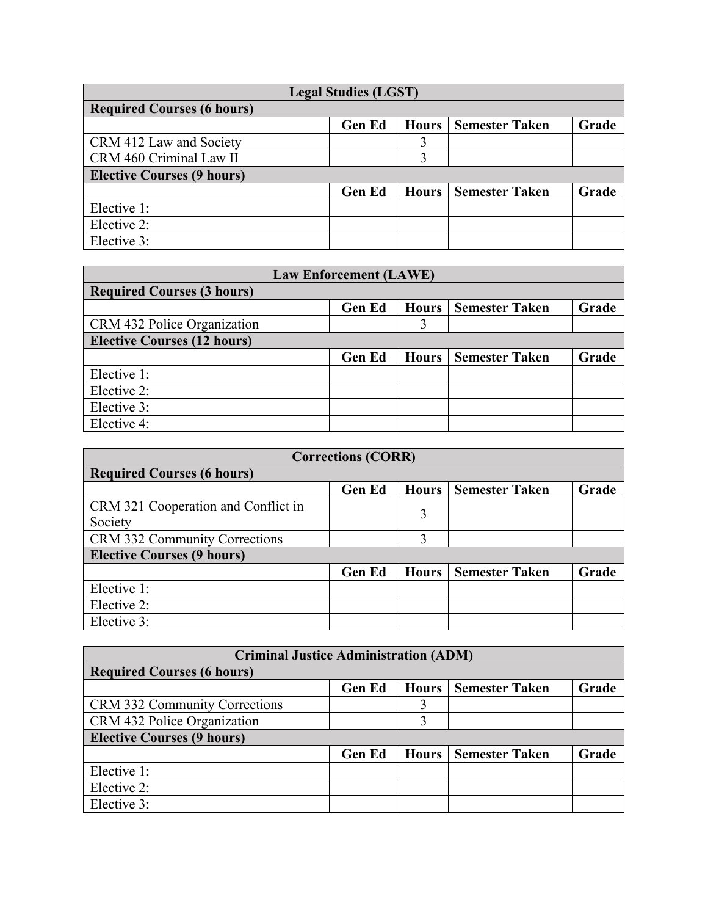| <b>Legal Studies (LGST)</b>       |               |              |                       |       |  |
|-----------------------------------|---------------|--------------|-----------------------|-------|--|
| <b>Required Courses (6 hours)</b> |               |              |                       |       |  |
|                                   | <b>Gen Ed</b> | <b>Hours</b> | <b>Semester Taken</b> | Grade |  |
| CRM 412 Law and Society           |               |              |                       |       |  |
| CRM 460 Criminal Law II           |               |              |                       |       |  |
| <b>Elective Courses (9 hours)</b> |               |              |                       |       |  |
|                                   | <b>Gen Ed</b> | <b>Hours</b> | <b>Semester Taken</b> | Grade |  |
| Elective 1:                       |               |              |                       |       |  |
| Elective 2:                       |               |              |                       |       |  |
| Elective 3:                       |               |              |                       |       |  |

| <b>Law Enforcement (LAWE)</b>      |               |              |                       |       |  |
|------------------------------------|---------------|--------------|-----------------------|-------|--|
| <b>Required Courses (3 hours)</b>  |               |              |                       |       |  |
|                                    | <b>Gen Ed</b> | Hours        | <b>Semester Taken</b> | Grade |  |
| CRM 432 Police Organization        |               |              |                       |       |  |
| <b>Elective Courses (12 hours)</b> |               |              |                       |       |  |
|                                    | <b>Gen Ed</b> | <b>Hours</b> | <b>Semester Taken</b> | Grade |  |
| Elective 1:                        |               |              |                       |       |  |
| Elective 2:                        |               |              |                       |       |  |
| Elective 3:                        |               |              |                       |       |  |
| Elective 4:                        |               |              |                       |       |  |

| <b>Corrections (CORR)</b>           |               |              |                       |       |  |
|-------------------------------------|---------------|--------------|-----------------------|-------|--|
| <b>Required Courses (6 hours)</b>   |               |              |                       |       |  |
|                                     | <b>Gen Ed</b> | <b>Hours</b> | <b>Semester Taken</b> | Grade |  |
| CRM 321 Cooperation and Conflict in |               | 3            |                       |       |  |
| Society                             |               |              |                       |       |  |
| CRM 332 Community Corrections       |               | 3            |                       |       |  |
| <b>Elective Courses (9 hours)</b>   |               |              |                       |       |  |
|                                     | <b>Gen Ed</b> | Hours        | <b>Semester Taken</b> | Grade |  |
| Elective 1:                         |               |              |                       |       |  |
| Elective 2:                         |               |              |                       |       |  |
| Elective 3:                         |               |              |                       |       |  |

| <b>Criminal Justice Administration (ADM)</b> |               |              |                       |       |  |
|----------------------------------------------|---------------|--------------|-----------------------|-------|--|
| <b>Required Courses (6 hours)</b>            |               |              |                       |       |  |
|                                              | <b>Gen Ed</b> | <b>Hours</b> | <b>Semester Taken</b> | Grade |  |
| CRM 332 Community Corrections                |               |              |                       |       |  |
| CRM 432 Police Organization                  |               |              |                       |       |  |
| <b>Elective Courses (9 hours)</b>            |               |              |                       |       |  |
|                                              | <b>Gen Ed</b> | Hours        | <b>Semester Taken</b> | Grade |  |
| Elective 1:                                  |               |              |                       |       |  |
| Elective 2:                                  |               |              |                       |       |  |
| Elective 3:                                  |               |              |                       |       |  |